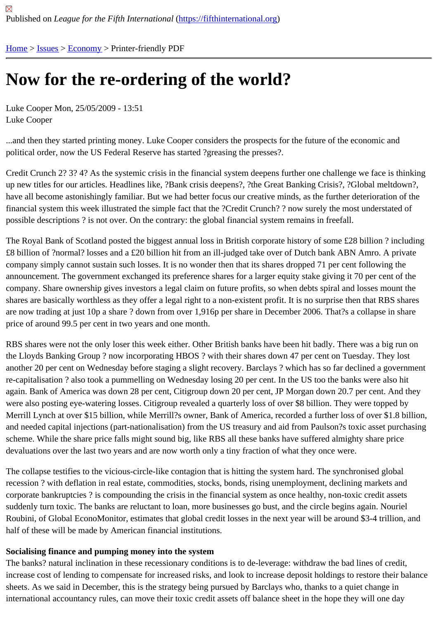# [No](https://fifthinternational.org/)[w fo](https://fifthinternational.org/category/7)r [the r](https://fifthinternational.org/category/7/381)e-ordering of the world?

Luke Cooper Mon, 25/05/2009 - 13:51 Luke Cooper

...and then they started printing money. Luke Cooper considers the prospects for the future of the economic and political order, now the US Federal Reserve has started ?greasing the presses?.

Credit Crunch 2? 3? 4? As the systemic crisis in the financial system deepens further one challenge we face is thii up new titles for our articles. Headlines like, ?Bank crisis deepens?, ?the Great Banking Crisis?, ?Global meltdown?, have all become astonishingly familiar. But we had better focus our creative minds, as the further deterioration of t financial system this week illustrated the simple fact that the ?Credit Crunch? ? now surely the most understated o possible descriptions ? is not over. On the contrary: the global financial system remains in freefall.

The Royal Bank of Scotland posted the biggest annual loss in British corporate history of some £28 billion ? includ £8 billion of ?normal? losses and a £20 billion hit from an ill-judged take over of Dutch bank ABN Amro. A private company simply cannot sustain such losses. It is no wonder then that its shares dropped 71 per cent following the announcement. The government exchanged its preference shares for a larger equity stake giving it 70 per cent of company. Share ownership gives investors a legal claim on future profits, so when debts spiral and losses mount t shares are basically worthless as they offer a legal right to a non-existent profit. It is no surprise then that RBS sha are now trading at just 10p a share ? down from over 1,916p per share in December 2006. That?s a collapse in sh price of around 99.5 per cent in two years and one month.

RBS shares were not the only loser this week either. Other British banks have been hit badly. There was a big run the Lloyds Banking Group ? now incorporating HBOS ? with their shares down 47 per cent on Tuesday. They lost another 20 per cent on Wednesday before staging a slight recovery. Barclays ? which has so far declined a gover re-capitalisation ? also took a pummelling on Wednesday losing 20 per cent. In the US too the banks were also hit again. Bank of America was down 28 per cent, Citigroup down 20 per cent, JP Morgan down 20.7 per cent. And th were also posting eye-watering losses. Citigroup revealed a quarterly loss of over \$8 billion. They were topped by Merrill Lynch at over \$15 billion, while Merrill?s owner, Bank of America, recorded a further loss of over \$1.8 billion, and needed capital injections (part-nationalisation) from the US treasury and aid from Paulson?s toxic asset purch scheme. While the share price falls might sound big, like RBS all these banks have suffered almighty share price devaluations over the last two years and are now worth only a tiny fraction of what they once were.

The collapse testifies to the vicious-circle-like contagion that is hitting the system hard. The synchronised global recession ? with deflation in real estate, commodities, stocks, bonds, rising unemployment, declining markets and corporate bankruptcies ? is compounding the crisis in the financial system as once healthy, non-toxic credit assets suddenly turn toxic. The banks are reluctant to loan, more businesses go bust, and the circle begins again. Nourie Roubini, of Global EconoMonitor, estimates that global credit losses in the next year will be around \$3-4 trillion, and half of these will be made by American financial institutions.

## Socialising finance and pumping money into the system

The banks? natural inclination in these recessionary conditions is to de-leverage: withdraw the bad lines of credit, increase cost of lending to compensate for increased risks, and look to increase deposit holdings to restore their b sheets. As we said in December, this is the strategy being pursued by Barclays who, thanks to a quiet change in international accountancy rules, can move their toxic credit assets off balance sheet in the hope they will one day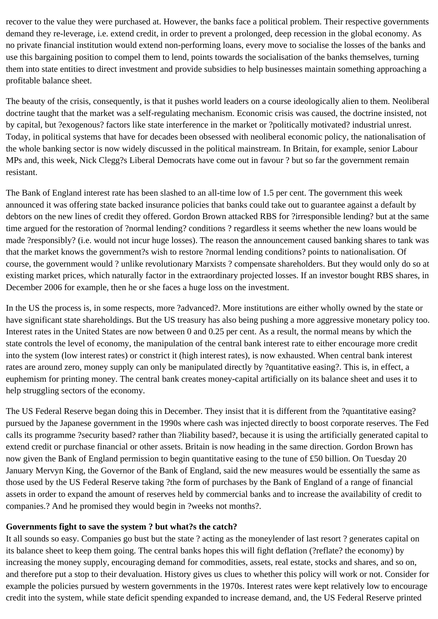recover to the value they were purchased at. However, the banks face a political problem. Their respective governments demand they re-leverage, i.e. extend credit, in order to prevent a prolonged, deep recession in the global economy. As no private financial institution would extend non-performing loans, every move to socialise the losses of the banks and use this bargaining position to compel them to lend, points towards the socialisation of the banks themselves, turning them into state entities to direct investment and provide subsidies to help businesses maintain something approaching a profitable balance sheet.

The beauty of the crisis, consequently, is that it pushes world leaders on a course ideologically alien to them. Neoliberal doctrine taught that the market was a self-regulating mechanism. Economic crisis was caused, the doctrine insisted, not by capital, but ?exogenous? factors like state interference in the market or ?politically motivated? industrial unrest. Today, in political systems that have for decades been obsessed with neoliberal economic policy, the nationalisation of the whole banking sector is now widely discussed in the political mainstream. In Britain, for example, senior Labour MPs and, this week, Nick Clegg?s Liberal Democrats have come out in favour ? but so far the government remain resistant.

The Bank of England interest rate has been slashed to an all-time low of 1.5 per cent. The government this week announced it was offering state backed insurance policies that banks could take out to guarantee against a default by debtors on the new lines of credit they offered. Gordon Brown attacked RBS for ?irresponsible lending? but at the same time argued for the restoration of ?normal lending? conditions ? regardless it seems whether the new loans would be made ?responsibly? (i.e. would not incur huge losses). The reason the announcement caused banking shares to tank was that the market knows the government?s wish to restore ?normal lending conditions? points to nationalisation. Of course, the government would ? unlike revolutionary Marxists ? compensate shareholders. But they would only do so at existing market prices, which naturally factor in the extraordinary projected losses. If an investor bought RBS shares, in December 2006 for example, then he or she faces a huge loss on the investment.

In the US the process is, in some respects, more ?advanced?. More institutions are either wholly owned by the state or have significant state shareholdings. But the US treasury has also being pushing a more aggressive monetary policy too. Interest rates in the United States are now between 0 and 0.25 per cent. As a result, the normal means by which the state controls the level of economy, the manipulation of the central bank interest rate to either encourage more credit into the system (low interest rates) or constrict it (high interest rates), is now exhausted. When central bank interest rates are around zero, money supply can only be manipulated directly by ?quantitative easing?. This is, in effect, a euphemism for printing money. The central bank creates money-capital artificially on its balance sheet and uses it to help struggling sectors of the economy.

The US Federal Reserve began doing this in December. They insist that it is different from the ?quantitative easing? pursued by the Japanese government in the 1990s where cash was injected directly to boost corporate reserves. The Fed calls its programme ?security based? rather than ?liability based?, because it is using the artificially generated capital to extend credit or purchase financial or other assets. Britain is now heading in the same direction. Gordon Brown has now given the Bank of England permission to begin quantitative easing to the tune of £50 billion. On Tuesday 20 January Mervyn King, the Governor of the Bank of England, said the new measures would be essentially the same as those used by the US Federal Reserve taking ?the form of purchases by the Bank of England of a range of financial assets in order to expand the amount of reserves held by commercial banks and to increase the availability of credit to companies.? And he promised they would begin in ?weeks not months?.

#### **Governments fight to save the system ? but what?s the catch?**

It all sounds so easy. Companies go bust but the state ? acting as the moneylender of last resort ? generates capital on its balance sheet to keep them going. The central banks hopes this will fight deflation (?reflate? the economy) by increasing the money supply, encouraging demand for commodities, assets, real estate, stocks and shares, and so on, and therefore put a stop to their devaluation. History gives us clues to whether this policy will work or not. Consider for example the policies pursued by western governments in the 1970s. Interest rates were kept relatively low to encourage credit into the system, while state deficit spending expanded to increase demand, and, the US Federal Reserve printed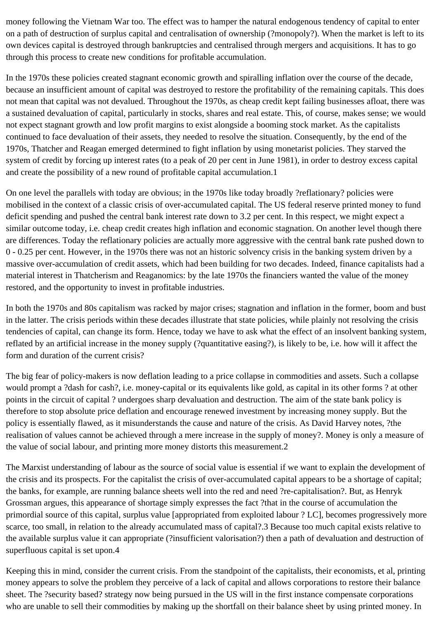money following the Vietnam War too. The effect was to hamper the natural endogenous tendency of capital to enter on a path of destruction of surplus capital and centralisation of ownership (?monopoly?). When the market is left to its own devices capital is destroyed through bankruptcies and centralised through mergers and acquisitions. It has to go through this process to create new conditions for profitable accumulation.

In the 1970s these policies created stagnant economic growth and spiralling inflation over the course of the decade, because an insufficient amount of capital was destroyed to restore the profitability of the remaining capitals. This does not mean that capital was not devalued. Throughout the 1970s, as cheap credit kept failing businesses afloat, there was a sustained devaluation of capital, particularly in stocks, shares and real estate. This, of course, makes sense; we would not expect stagnant growth and low profit margins to exist alongside a booming stock market. As the capitalists continued to face devaluation of their assets, they needed to resolve the situation. Consequently, by the end of the 1970s, Thatcher and Reagan emerged determined to fight inflation by using monetarist policies. They starved the system of credit by forcing up interest rates (to a peak of 20 per cent in June 1981), in order to destroy excess capital and create the possibility of a new round of profitable capital accumulation.1

On one level the parallels with today are obvious; in the 1970s like today broadly ?reflationary? policies were mobilised in the context of a classic crisis of over-accumulated capital. The US federal reserve printed money to fund deficit spending and pushed the central bank interest rate down to 3.2 per cent. In this respect, we might expect a similar outcome today, i.e. cheap credit creates high inflation and economic stagnation. On another level though there are differences. Today the reflationary policies are actually more aggressive with the central bank rate pushed down to 0 - 0.25 per cent. However, in the 1970s there was not an historic solvency crisis in the banking system driven by a massive over-accumulation of credit assets, which had been building for two decades. Indeed, finance capitalists had a material interest in Thatcherism and Reaganomics: by the late 1970s the financiers wanted the value of the money restored, and the opportunity to invest in profitable industries.

In both the 1970s and 80s capitalism was racked by major crises; stagnation and inflation in the former, boom and bust in the latter. The crisis periods within these decades illustrate that state policies, while plainly not resolving the crisis tendencies of capital, can change its form. Hence, today we have to ask what the effect of an insolvent banking system, reflated by an artificial increase in the money supply (?quantitative easing?), is likely to be, i.e. how will it affect the form and duration of the current crisis?

The big fear of policy-makers is now deflation leading to a price collapse in commodities and assets. Such a collapse would prompt a ?dash for cash?, i.e. money-capital or its equivalents like gold, as capital in its other forms ? at other points in the circuit of capital ? undergoes sharp devaluation and destruction. The aim of the state bank policy is therefore to stop absolute price deflation and encourage renewed investment by increasing money supply. But the policy is essentially flawed, as it misunderstands the cause and nature of the crisis. As David Harvey notes, ?the realisation of values cannot be achieved through a mere increase in the supply of money?. Money is only a measure of the value of social labour, and printing more money distorts this measurement.2

The Marxist understanding of labour as the source of social value is essential if we want to explain the development of the crisis and its prospects. For the capitalist the crisis of over-accumulated capital appears to be a shortage of capital; the banks, for example, are running balance sheets well into the red and need ?re-capitalisation?. But, as Henryk Grossman argues, this appearance of shortage simply expresses the fact ?that in the course of accumulation the primordial source of this capital, surplus value [appropriated from exploited labour ? LC], becomes progressively more scarce, too small, in relation to the already accumulated mass of capital?.3 Because too much capital exists relative to the available surplus value it can appropriate (?insufficient valorisation?) then a path of devaluation and destruction of superfluous capital is set upon.4

Keeping this in mind, consider the current crisis. From the standpoint of the capitalists, their economists, et al, printing money appears to solve the problem they perceive of a lack of capital and allows corporations to restore their balance sheet. The ?security based? strategy now being pursued in the US will in the first instance compensate corporations who are unable to sell their commodities by making up the shortfall on their balance sheet by using printed money. In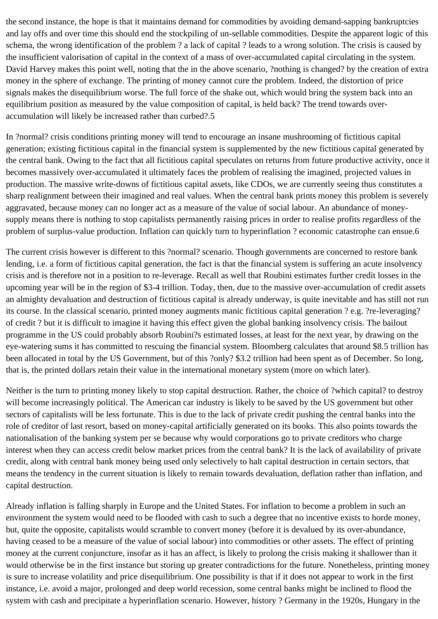the second instance, the hope is that it maintains demand for commodities by avoiding demand-sapping bankruptcies and lay offs and over time this should end the stockpiling of un-sellable commodities. Despite the apparent logic of this schema, the wrong identification of the problem ? a lack of capital ? leads to a wrong solution. The crisis is caused by the insufficient valorisation of capital in the context of a mass of over-accumulated capital circulating in the system. David Harvey makes this point well, noting that the in the above scenario, ?nothing is changed? by the creation of extra money in the sphere of exchange. The printing of money cannot cure the problem. Indeed, the distortion of price signals makes the disequilibrium worse. The full force of the shake out, which would bring the system back into an equilibrium position as measured by the value composition of capital, is held back? The trend towards overaccumulation will likely be increased rather than curbed?.5

In ?normal? crisis conditions printing money will tend to encourage an insane mushrooming of fictitious capital generation; existing fictitious capital in the financial system is supplemented by the new fictitious capital generated by the central bank. Owing to the fact that all fictitious capital speculates on returns from future productive activity, once it becomes massively over-accumulated it ultimately faces the problem of realising the imagined, projected values in production. The massive write-downs of fictitious capital assets, like CDOs, we are currently seeing thus constitutes a sharp realignment between their imagined and real values. When the central bank prints money this problem is severely aggravated, because money can no longer act as a measure of the value of social labour. An abundance of moneysupply means there is nothing to stop capitalists permanently raising prices in order to realise profits regardless of the problem of surplus-value production. Inflation can quickly turn to hyperinflation ? economic catastrophe can ensue.6

The current crisis however is different to this ?normal? scenario. Though governments are concerned to restore bank lending, i.e. a form of fictitious capital generation, the fact is that the financial system is suffering an acute insolvency crisis and is therefore not in a position to re-leverage. Recall as well that Roubini estimates further credit losses in the upcoming year will be in the region of \$3-4 trillion. Today, then, due to the massive over-accumulation of credit assets an almighty devaluation and destruction of fictitious capital is already underway, is quite inevitable and has still not run its course. In the classical scenario, printed money augments manic fictitious capital generation ? e.g. ?re-leveraging? of credit ? but it is difficult to imagine it having this effect given the global banking insolvency crisis. The bailout programme in the US could probably absorb Roubini?s estimated losses, at least for the next year, by drawing on the eye-watering sums it has committed to rescuing the financial system. Bloomberg calculates that around \$8.5 trillion has been allocated in total by the US Government, but of this ?only? \$3.2 trillion had been spent as of December. So long, that is, the printed dollars retain their value in the international monetary system (more on which later).

Neither is the turn to printing money likely to stop capital destruction. Rather, the choice of ?which capital? to destroy will become increasingly political. The American car industry is likely to be saved by the US government but other sectors of capitalists will be less fortunate. This is due to the lack of private credit pushing the central banks into the role of creditor of last resort, based on money-capital artificially generated on its books. This also points towards the nationalisation of the banking system per se because why would corporations go to private creditors who charge interest when they can access credit below market prices from the central bank? It is the lack of availability of private credit, along with central bank money being used only selectively to halt capital destruction in certain sectors, that means the tendency in the current situation is likely to remain towards devaluation, deflation rather than inflation, and capital destruction.

Already inflation is falling sharply in Europe and the United States. For inflation to become a problem in such an environment the system would need to be flooded with cash to such a degree that no incentive exists to horde money, but, quite the opposite, capitalists would scramble to convert money (before it is devalued by its over-abundance, having ceased to be a measure of the value of social labour) into commodities or other assets. The effect of printing money at the current conjuncture, insofar as it has an affect, is likely to prolong the crisis making it shallower than it would otherwise be in the first instance but storing up greater contradictions for the future. Nonetheless, printing money is sure to increase volatility and price disequilibrium. One possibility is that if it does not appear to work in the first instance, i.e. avoid a major, prolonged and deep world recession, some central banks might be inclined to flood the system with cash and precipitate a hyperinflation scenario. However, history ? Germany in the 1920s, Hungary in the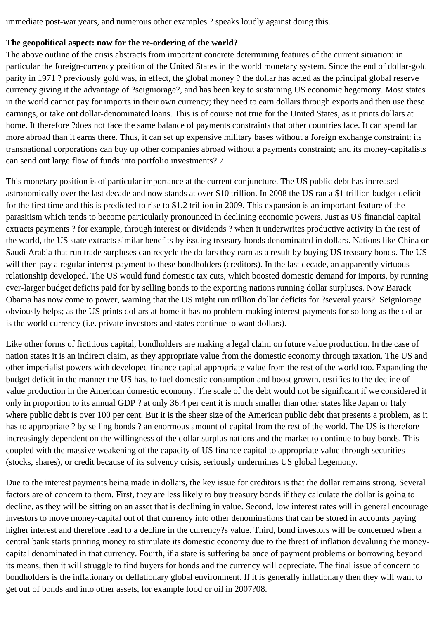immediate post-war years, and numerous other examples ? speaks loudly against doing this.

#### **The geopolitical aspect: now for the re-ordering of the world?**

The above outline of the crisis abstracts from important concrete determining features of the current situation: in particular the foreign-currency position of the United States in the world monetary system. Since the end of dollar-gold parity in 1971 ? previously gold was, in effect, the global money ? the dollar has acted as the principal global reserve currency giving it the advantage of ?seigniorage?, and has been key to sustaining US economic hegemony. Most states in the world cannot pay for imports in their own currency; they need to earn dollars through exports and then use these earnings, or take out dollar-denominated loans. This is of course not true for the United States, as it prints dollars at home. It therefore ?does not face the same balance of payments constraints that other countries face. It can spend far more abroad than it earns there. Thus, it can set up expensive military bases without a foreign exchange constraint; its transnational corporations can buy up other companies abroad without a payments constraint; and its money-capitalists can send out large flow of funds into portfolio investments?.7

This monetary position is of particular importance at the current conjuncture. The US public debt has increased astronomically over the last decade and now stands at over \$10 trillion. In 2008 the US ran a \$1 trillion budget deficit for the first time and this is predicted to rise to \$1.2 trillion in 2009. This expansion is an important feature of the parasitism which tends to become particularly pronounced in declining economic powers. Just as US financial capital extracts payments ? for example, through interest or dividends ? when it underwrites productive activity in the rest of the world, the US state extracts similar benefits by issuing treasury bonds denominated in dollars. Nations like China or Saudi Arabia that run trade surpluses can recycle the dollars they earn as a result by buying US treasury bonds. The US will then pay a regular interest payment to these bondholders (creditors). In the last decade, an apparently virtuous relationship developed. The US would fund domestic tax cuts, which boosted domestic demand for imports, by running ever-larger budget deficits paid for by selling bonds to the exporting nations running dollar surpluses. Now Barack Obama has now come to power, warning that the US might run trillion dollar deficits for ?several years?. Seigniorage obviously helps; as the US prints dollars at home it has no problem-making interest payments for so long as the dollar is the world currency (i.e. private investors and states continue to want dollars).

Like other forms of fictitious capital, bondholders are making a legal claim on future value production. In the case of nation states it is an indirect claim, as they appropriate value from the domestic economy through taxation. The US and other imperialist powers with developed finance capital appropriate value from the rest of the world too. Expanding the budget deficit in the manner the US has, to fuel domestic consumption and boost growth, testifies to the decline of value production in the American domestic economy. The scale of the debt would not be significant if we considered it only in proportion to its annual GDP ? at only 36.4 per cent it is much smaller than other states like Japan or Italy where public debt is over 100 per cent. But it is the sheer size of the American public debt that presents a problem, as it has to appropriate ? by selling bonds ? an enormous amount of capital from the rest of the world. The US is therefore increasingly dependent on the willingness of the dollar surplus nations and the market to continue to buy bonds. This coupled with the massive weakening of the capacity of US finance capital to appropriate value through securities (stocks, shares), or credit because of its solvency crisis, seriously undermines US global hegemony.

Due to the interest payments being made in dollars, the key issue for creditors is that the dollar remains strong. Several factors are of concern to them. First, they are less likely to buy treasury bonds if they calculate the dollar is going to decline, as they will be sitting on an asset that is declining in value. Second, low interest rates will in general encourage investors to move money-capital out of that currency into other denominations that can be stored in accounts paying higher interest and therefore lead to a decline in the currency?s value. Third, bond investors will be concerned when a central bank starts printing money to stimulate its domestic economy due to the threat of inflation devaluing the moneycapital denominated in that currency. Fourth, if a state is suffering balance of payment problems or borrowing beyond its means, then it will struggle to find buyers for bonds and the currency will depreciate. The final issue of concern to bondholders is the inflationary or deflationary global environment. If it is generally inflationary then they will want to get out of bonds and into other assets, for example food or oil in 2007?08.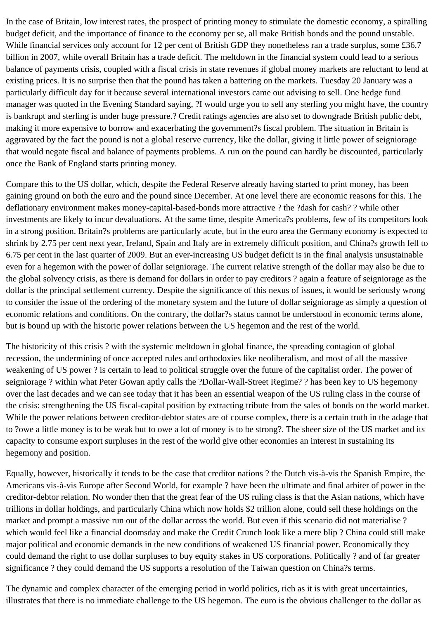In the case of Britain, low interest rates, the prospect of printing money to stimulate the domestic economy, a spiralling budget deficit, and the importance of finance to the economy per se, all make British bonds and the pound unstable. While financial services only account for 12 per cent of British GDP they nonetheless ran a trade surplus, some £36.7 billion in 2007, while overall Britain has a trade deficit. The meltdown in the financial system could lead to a serious balance of payments crisis, coupled with a fiscal crisis in state revenues if global money markets are reluctant to lend at existing prices. It is no surprise then that the pound has taken a battering on the markets. Tuesday 20 January was a particularly difficult day for it because several international investors came out advising to sell. One hedge fund manager was quoted in the Evening Standard saying, ?I would urge you to sell any sterling you might have, the country is bankrupt and sterling is under huge pressure.? Credit ratings agencies are also set to downgrade British public debt, making it more expensive to borrow and exacerbating the government?s fiscal problem. The situation in Britain is aggravated by the fact the pound is not a global reserve currency, like the dollar, giving it little power of seigniorage that would negate fiscal and balance of payments problems. A run on the pound can hardly be discounted, particularly once the Bank of England starts printing money.

Compare this to the US dollar, which, despite the Federal Reserve already having started to print money, has been gaining ground on both the euro and the pound since December. At one level there are economic reasons for this. The deflationary environment makes money-capital-based-bonds more attractive ? the ?dash for cash? ? while other investments are likely to incur devaluations. At the same time, despite America?s problems, few of its competitors look in a strong position. Britain?s problems are particularly acute, but in the euro area the Germany economy is expected to shrink by 2.75 per cent next year, Ireland, Spain and Italy are in extremely difficult position, and China?s growth fell to 6.75 per cent in the last quarter of 2009. But an ever-increasing US budget deficit is in the final analysis unsustainable even for a hegemon with the power of dollar seigniorage. The current relative strength of the dollar may also be due to the global solvency crisis, as there is demand for dollars in order to pay creditors ? again a feature of seigniorage as the dollar is the principal settlement currency. Despite the significance of this nexus of issues, it would be seriously wrong to consider the issue of the ordering of the monetary system and the future of dollar seigniorage as simply a question of economic relations and conditions. On the contrary, the dollar?s status cannot be understood in economic terms alone, but is bound up with the historic power relations between the US hegemon and the rest of the world.

The historicity of this crisis ? with the systemic meltdown in global finance, the spreading contagion of global recession, the undermining of once accepted rules and orthodoxies like neoliberalism, and most of all the massive weakening of US power ? is certain to lead to political struggle over the future of the capitalist order. The power of seigniorage ? within what Peter Gowan aptly calls the ?Dollar-Wall-Street Regime? ? has been key to US hegemony over the last decades and we can see today that it has been an essential weapon of the US ruling class in the course of the crisis: strengthening the US fiscal-capital position by extracting tribute from the sales of bonds on the world market. While the power relations between creditor-debtor states are of course complex, there is a certain truth in the adage that to ?owe a little money is to be weak but to owe a lot of money is to be strong?. The sheer size of the US market and its capacity to consume export surpluses in the rest of the world give other economies an interest in sustaining its hegemony and position.

Equally, however, historically it tends to be the case that creditor nations ? the Dutch vis-à-vis the Spanish Empire, the Americans vis-à-vis Europe after Second World, for example ? have been the ultimate and final arbiter of power in the creditor-debtor relation. No wonder then that the great fear of the US ruling class is that the Asian nations, which have trillions in dollar holdings, and particularly China which now holds \$2 trillion alone, could sell these holdings on the market and prompt a massive run out of the dollar across the world. But even if this scenario did not materialise ? which would feel like a financial doomsday and make the Credit Crunch look like a mere blip ? China could still make major political and economic demands in the new conditions of weakened US financial power. Economically they could demand the right to use dollar surpluses to buy equity stakes in US corporations. Politically ? and of far greater significance ? they could demand the US supports a resolution of the Taiwan question on China?s terms.

The dynamic and complex character of the emerging period in world politics, rich as it is with great uncertainties, illustrates that there is no immediate challenge to the US hegemon. The euro is the obvious challenger to the dollar as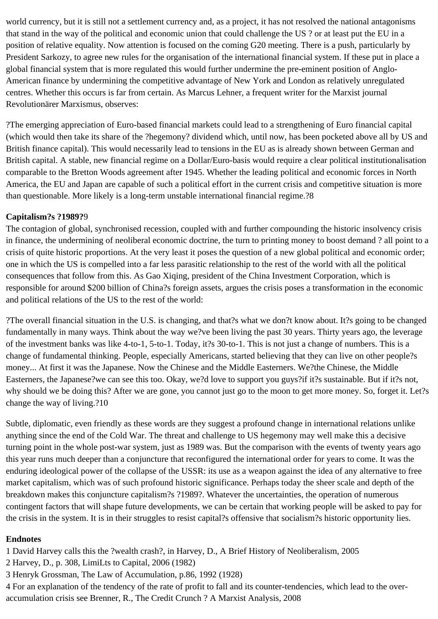world currency, but it is still not a settlement currency and, as a project, it has not resolved the national antagonisms that stand in the way of the political and economic union that could challenge the US ? or at least put the EU in a position of relative equality. Now attention is focused on the coming G20 meeting. There is a push, particularly by President Sarkozy, to agree new rules for the organisation of the international financial system. If these put in place a global financial system that is more regulated this would further undermine the pre-eminent position of Anglo-American finance by undermining the competitive advantage of New York and London as relatively unregulated centres. Whether this occurs is far from certain. As Marcus Lehner, a frequent writer for the Marxist journal Revolutionärer Marxismus, observes:

?The emerging appreciation of Euro-based financial markets could lead to a strengthening of Euro financial capital (which would then take its share of the ?hegemony? dividend which, until now, has been pocketed above all by US and British finance capital). This would necessarily lead to tensions in the EU as is already shown between German and British capital. A stable, new financial regime on a Dollar/Euro-basis would require a clear political institutionalisation comparable to the Bretton Woods agreement after 1945. Whether the leading political and economic forces in North America, the EU and Japan are capable of such a political effort in the current crisis and competitive situation is more than questionable. More likely is a long-term unstable international financial regime.?8

### **Capitalism?s ?1989?**9

The contagion of global, synchronised recession, coupled with and further compounding the historic insolvency crisis in finance, the undermining of neoliberal economic doctrine, the turn to printing money to boost demand ? all point to a crisis of quite historic proportions. At the very least it poses the question of a new global political and economic order; one in which the US is compelled into a far less parasitic relationship to the rest of the world with all the political consequences that follow from this. As Gao Xiqing, president of the China Investment Corporation, which is responsible for around \$200 billion of China?s foreign assets, argues the crisis poses a transformation in the economic and political relations of the US to the rest of the world:

?The overall financial situation in the U.S. is changing, and that?s what we don?t know about. It?s going to be changed fundamentally in many ways. Think about the way we?ve been living the past 30 years. Thirty years ago, the leverage of the investment banks was like 4-to-1, 5-to-1. Today, it?s 30-to-1. This is not just a change of numbers. This is a change of fundamental thinking. People, especially Americans, started believing that they can live on other people?s money... At first it was the Japanese. Now the Chinese and the Middle Easterners. We?the Chinese, the Middle Easterners, the Japanese?we can see this too. Okay, we?d love to support you guys?if it?s sustainable. But if it?s not, why should we be doing this? After we are gone, you cannot just go to the moon to get more money. So, forget it. Let?s change the way of living.?10

Subtle, diplomatic, even friendly as these words are they suggest a profound change in international relations unlike anything since the end of the Cold War. The threat and challenge to US hegemony may well make this a decisive turning point in the whole post-war system, just as 1989 was. But the comparison with the events of twenty years ago this year runs much deeper than a conjuncture that reconfigured the international order for years to come. It was the enduring ideological power of the collapse of the USSR: its use as a weapon against the idea of any alternative to free market capitalism, which was of such profound historic significance. Perhaps today the sheer scale and depth of the breakdown makes this conjuncture capitalism?s ?1989?. Whatever the uncertainties, the operation of numerous contingent factors that will shape future developments, we can be certain that working people will be asked to pay for the crisis in the system. It is in their struggles to resist capital?s offensive that socialism?s historic opportunity lies.

#### **Endnotes**

1 David Harvey calls this the ?wealth crash?, in Harvey, D., A Brief History of Neoliberalism, 2005

2 Harvey, D., p. 308, LimiLts to Capital, 2006 (1982)

3 Henryk Grossman, The Law of Accumulation, p.86, 1992 (1928)

4 For an explanation of the tendency of the rate of profit to fall and its counter-tendencies, which lead to the overaccumulation crisis see Brenner, R., The Credit Crunch ? A Marxist Analysis, 2008